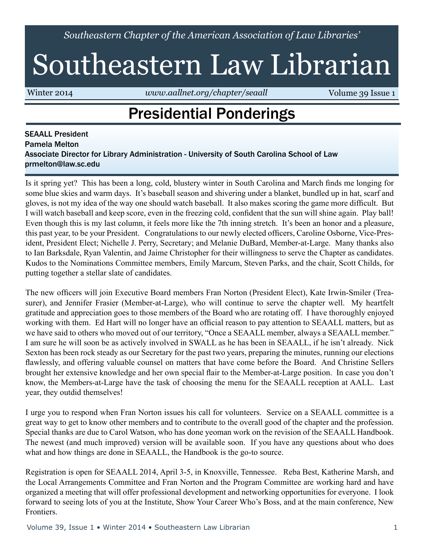*Southeastern Chapter of the American Association of Law Libraries'*

# Southeastern Law Librarian

Winter 2014 *www.aallnet.org/chapter/seaall* **Volume 39 Issue 1** 

## Presidential Ponderings

SEAALL President Pamela Melton Associate Director for Library Administration - University of South Carolina School of Law prmelton@law.sc.edu

Is it spring yet? This has been a long, cold, blustery winter in South Carolina and March finds me longing for some blue skies and warm days. It's baseball season and shivering under a blanket, bundled up in hat, scarf and gloves, is not my idea of the way one should watch baseball. It also makes scoring the game more difficult. But I will watch baseball and keep score, even in the freezing cold, confident that the sun will shine again. Play ball! Even though this is my last column, it feels more like the 7th inning stretch. It's been an honor and a pleasure, this past year, to be your President. Congratulations to our newly elected officers, Caroline Osborne, Vice-President, President Elect; Nichelle J. Perry, Secretary; and Melanie DuBard, Member-at-Large. Many thanks also to Ian Barksdale, Ryan Valentin, and Jaime Christopher for their willingness to serve the Chapter as candidates. Kudos to the Nominations Committee members, Emily Marcum, Steven Parks, and the chair, Scott Childs, for putting together a stellar slate of candidates.

The new officers will join Executive Board members Fran Norton (President Elect), Kate Irwin-Smiler (Treasurer), and Jennifer Frasier (Member-at-Large), who will continue to serve the chapter well. My heartfelt gratitude and appreciation goes to those members of the Board who are rotating off. I have thoroughly enjoyed working with them. Ed Hart will no longer have an official reason to pay attention to SEAALL matters, but as we have said to others who moved out of our territory, "Once a SEAALL member, always a SEAALL member." I am sure he will soon be as actively involved in SWALL as he has been in SEAALL, if he isn't already. Nick Sexton has been rock steady as our Secretary for the past two years, preparing the minutes, running our elections flawlessly, and offering valuable counsel on matters that have come before the Board. And Christine Sellers brought her extensive knowledge and her own special flair to the Member-at-Large position. In case you don't know, the Members-at-Large have the task of choosing the menu for the SEAALL reception at AALL. Last year, they outdid themselves!

I urge you to respond when Fran Norton issues his call for volunteers. Service on a SEAALL committee is a great way to get to know other members and to contribute to the overall good of the chapter and the profession. Special thanks are due to Carol Watson, who has done yeoman work on the revision of the SEAALL Handbook. The newest (and much improved) version will be available soon. If you have any questions about who does what and how things are done in SEAALL, the Handbook is the go-to source.

Registration is open for SEAALL 2014, April 3-5, in Knoxville, Tennessee. Reba Best, Katherine Marsh, and the Local Arrangements Committee and Fran Norton and the Program Committee are working hard and have organized a meeting that will offer professional development and networking opportunities for everyone. I look forward to seeing lots of you at the Institute, Show Your Career Who's Boss, and at the main conference, New **Frontiers** 

Volume 39, Issue 1 • Winter 2014 • Southeastern Law Librarian 1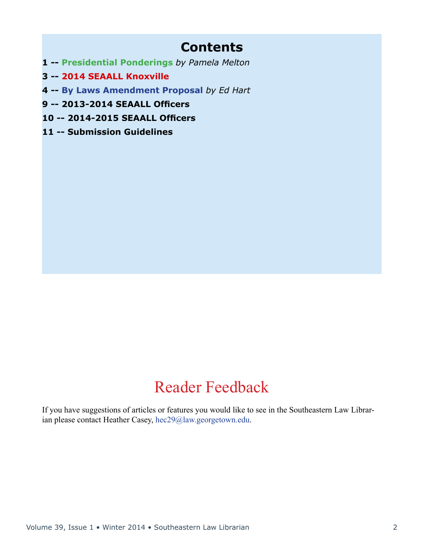### **Contents**

- **1 -- Presidential Ponderings** *by Pamela Melton*
- **3 -- 2014 SEAALL Knoxville**
- **4 -- By Laws Amendment Proposal** *by Ed Hart*
- **9 -- 2013-2014 SEAALL Officers**
- **10 -- 2014-2015 SEAALL Officers**
- **11 -- Submission Guidelines**

### Reader Feedback

If you have suggestions of articles or features you would like to see in the Southeastern Law Librarian please contact Heather Casey, hec29@law.georgetown.edu.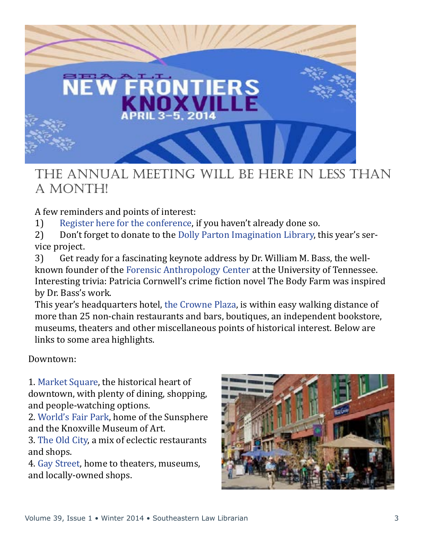

### The Annual Meeting will be here in less than a month!

- A few reminders and points of interest:<br>1) Register here for the conference, i 1) [Register here for the conference](http://library.lmunet.edu/seaall2014), if you haven't already done so.<br>2) Don't forget to donate to the Dolly Parton Imagination Library, t
- 2) Don't forget to donate to the [Dolly Parton Imagination Library](http://www.knoxlib.org/calendar-programs/programs-and-partnerships/imagination-library/donate-imagination-library), this year's service project.
- 3) Get ready for a fascinating keynote address by Dr. William M. Bass, the wellknown founder of the [Forensic Anthropology Center](http://fac.utk.edu) at the University of Tennessee. Interesting trivia: Patricia Cornwell's crime fiction novel The Body Farm was inspired by Dr. Bass's work.

This year's headquarters hotel, [the Crowne Plaza](http://www.ihg.com/crowneplaza/hotels/us/en/knoxville/tyssh/hoteldetail%3F_requestid%3D338653), is within easy walking distance of more than 25 non-chain restaurants and bars, boutiques, an independent bookstore, museums, theaters and other miscellaneous points of historical interest. Below are links to some area highlights.

Downtown:

1. [Market Square,](http://knoxvillemarketsquare.com) the historical heart of downtown, with plenty of dining, shopping, and people-watching options.

2. [World's Fair Park,](http://worldsfairpark.org) home of the Sunsphere and the Knoxville Museum of Art.

3. [The Old City,](https://www.facebook.com/OldCityKnoxville) a mix of eclectic restaurants and shops.

4. [Gay Street,](http://en.wikipedia.org/wiki/Gay_Street_%28Knoxville%29) home to theaters, museums, and locally-owned shops.

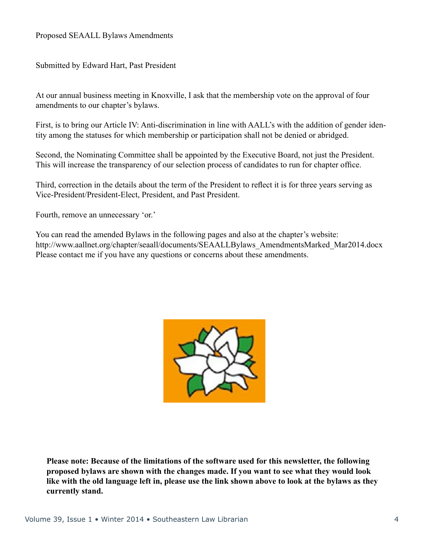Submitted by Edward Hart, Past President

At our annual business meeting in Knoxville, I ask that the membership vote on the approval of four amendments to our chapter's bylaws.

First, is to bring our Article IV: Anti-discrimination in line with AALL's with the addition of gender identity among the statuses for which membership or participation shall not be denied or abridged.

Second, the Nominating Committee shall be appointed by the Executive Board, not just the President. This will increase the transparency of our selection process of candidates to run for chapter office.

Third, correction in the details about the term of the President to reflect it is for three years serving as Vice-President/President-Elect, President, and Past President.

Fourth, remove an unnecessary 'or.'

You can read the amended Bylaws in the following pages and also at the chapter's website: http://www.aallnet.org/chapter/seaall/documents/SEAALLBylaws\_AmendmentsMarked\_Mar2014.docx Please contact me if you have any questions or concerns about these amendments.



**Please note: Because of the limitations of the software used for this newsletter, the following proposed bylaws are shown with the changes made. If you want to see what they would look like with the old language left in, please use the link shown above to look at the bylaws as they currently stand.**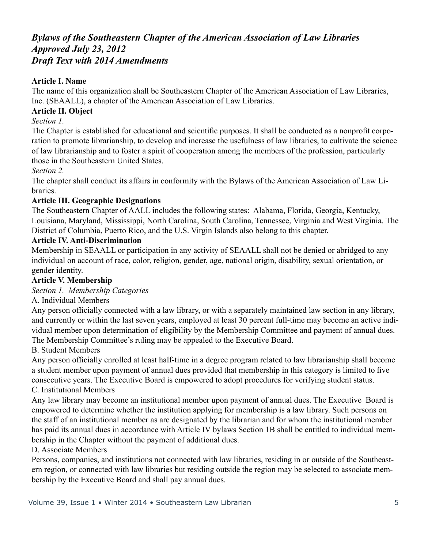#### *Bylaws of the Southeastern Chapter of the American Association of Law Libraries Approved July 23, 2012 Draft Text with 2014 Amendments*

#### **Article I. Name**

The name of this organization shall be Southeastern Chapter of the American Association of Law Libraries, Inc. (SEAALL), a chapter of the American Association of Law Libraries.

#### **Article II. Object**

*Section 1.* 

The Chapter is established for educational and scientific purposes. It shall be conducted as a nonprofit corporation to promote librarianship, to develop and increase the usefulness of law libraries, to cultivate the science of law librarianship and to foster a spirit of cooperation among the members of the profession, particularly those in the Southeastern United States.

*Section 2.*

The chapter shall conduct its affairs in conformity with the Bylaws of the American Association of Law Libraries.

#### **Article III. Geographic Designations**

The Southeastern Chapter of AALL includes the following states: Alabama, Florida, Georgia, Kentucky, Louisiana, Maryland, Mississippi, North Carolina, South Carolina, Tennessee, Virginia and West Virginia. The District of Columbia, Puerto Rico, and the U.S. Virgin Islands also belong to this chapter.

#### **Article IV. Anti-Discrimination**

Membership in SEAALL or participation in any activity of SEAALL shall not be denied or abridged to any individual on account of race, color, religion, gender, age, national origin, disability, sexual orientation, or gender identity.

#### **Article V. Membership**

#### *Section 1. Membership Categories*

A. Individual Members

Any person officially connected with a law library, or with a separately maintained law section in any library, and currently or within the last seven years, employed at least 30 percent full-time may become an active individual member upon determination of eligibility by the Membership Committee and payment of annual dues. The Membership Committee's ruling may be appealed to the Executive Board.

B. Student Members

Any person officially enrolled at least half-time in a degree program related to law librarianship shall become a student member upon payment of annual dues provided that membership in this category is limited to five consecutive years. The Executive Board is empowered to adopt procedures for verifying student status. C. Institutional Members

Any law library may become an institutional member upon payment of annual dues. The Executive Board is empowered to determine whether the institution applying for membership is a law library. Such persons on the staff of an institutional member as are designated by the librarian and for whom the institutional member has paid its annual dues in accordance with Article IV bylaws Section 1B shall be entitled to individual membership in the Chapter without the payment of additional dues.

#### D. Associate Members

Persons, companies, and institutions not connected with law libraries, residing in or outside of the Southeastern region, or connected with law libraries but residing outside the region may be selected to associate membership by the Executive Board and shall pay annual dues.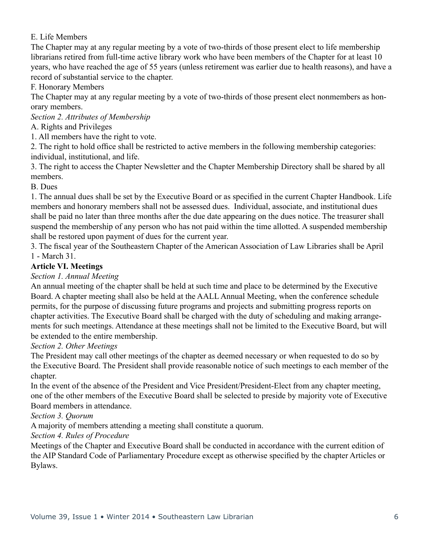#### E. Life Members

The Chapter may at any regular meeting by a vote of two-thirds of those present elect to life membership librarians retired from full-time active library work who have been members of the Chapter for at least 10 years, who have reached the age of 55 years (unless retirement was earlier due to health reasons), and have a record of substantial service to the chapter.

F. Honorary Members

The Chapter may at any regular meeting by a vote of two-thirds of those present elect nonmembers as honorary members.

*Section 2. Attributes of Membership* 

#### A. Rights and Privileges

1. All members have the right to vote.

2. The right to hold office shall be restricted to active members in the following membership categories: individual, institutional, and life.

3. The right to access the Chapter Newsletter and the Chapter Membership Directory shall be shared by all members.

B. Dues

1. The annual dues shall be set by the Executive Board or as specified in the current Chapter Handbook. Life members and honorary members shall not be assessed dues. Individual, associate, and institutional dues shall be paid no later than three months after the due date appearing on the dues notice. The treasurer shall suspend the membership of any person who has not paid within the time allotted. A suspended membership shall be restored upon payment of dues for the current year.

3. The fiscal year of the Southeastern Chapter of the American Association of Law Libraries shall be April 1 - March 31.

#### **Article VI. Meetings**

*Section 1. Annual Meeting* 

An annual meeting of the chapter shall be held at such time and place to be determined by the Executive Board. A chapter meeting shall also be held at the AALL Annual Meeting, when the conference schedule permits, for the purpose of discussing future programs and projects and submitting progress reports on chapter activities. The Executive Board shall be charged with the duty of scheduling and making arrangements for such meetings. Attendance at these meetings shall not be limited to the Executive Board, but will be extended to the entire membership.

#### *Section 2. Other Meetings*

The President may call other meetings of the chapter as deemed necessary or when requested to do so by the Executive Board. The President shall provide reasonable notice of such meetings to each member of the chapter.

In the event of the absence of the President and Vice President/President-Elect from any chapter meeting, one of the other members of the Executive Board shall be selected to preside by majority vote of Executive Board members in attendance.

*Section 3. Quorum* 

A majority of members attending a meeting shall constitute a quorum.

#### *Section 4. Rules of Procedure*

Meetings of the Chapter and Executive Board shall be conducted in accordance with the current edition of the AIP Standard Code of Parliamentary Procedure except as otherwise specified by the chapter Articles or Bylaws.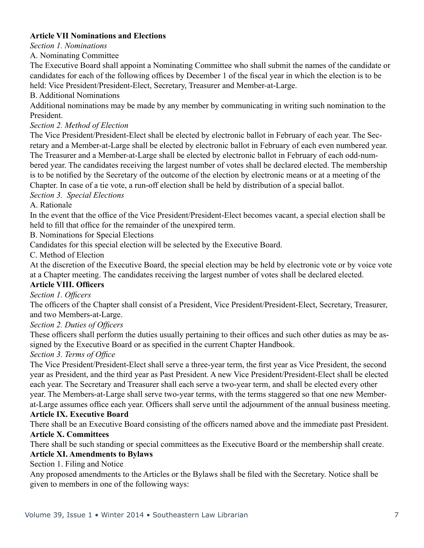#### **Article VII Nominations and Elections**

*Section 1. Nominations* 

#### A. Nominating Committee

The Executive Board shall appoint a Nominating Committee who shall submit the names of the candidate or candidates for each of the following offices by December 1 of the fiscal year in which the election is to be held: Vice President/President-Elect, Secretary, Treasurer and Member-at-Large.

B. Additional Nominations

Additional nominations may be made by any member by communicating in writing such nomination to the President.

#### *Section 2. Method of Election*

The Vice President/President-Elect shall be elected by electronic ballot in February of each year. The Secretary and a Member-at-Large shall be elected by electronic ballot in February of each even numbered year. The Treasurer and a Member-at-Large shall be elected by electronic ballot in February of each odd-numbered year. The candidates receiving the largest number of votes shall be declared elected. The membership is to be notified by the Secretary of the outcome of the election by electronic means or at a meeting of the Chapter. In case of a tie vote, a run-off election shall be held by distribution of a special ballot.

*Section 3. Special Elections* 

#### A. Rationale

In the event that the office of the Vice President/President-Elect becomes vacant, a special election shall be held to fill that office for the remainder of the unexpired term.

B. Nominations for Special Elections

Candidates for this special election will be selected by the Executive Board.

C. Method of Election

At the discretion of the Executive Board, the special election may be held by electronic vote or by voice vote at a Chapter meeting. The candidates receiving the largest number of votes shall be declared elected.

#### **Article VIII. Officers**

*Section 1. Officers*

The officers of the Chapter shall consist of a President, Vice President/President-Elect, Secretary, Treasurer, and two Members-at-Large.

*Section 2. Duties of Officers* 

These officers shall perform the duties usually pertaining to their offices and such other duties as may be assigned by the Executive Board or as specified in the current Chapter Handbook.

*Section 3. Terms of Office* 

The Vice President/President-Elect shall serve a three-year term, the first year as Vice President, the second year as President, and the third year as Past President. A new Vice President/President-Elect shall be elected each year. The Secretary and Treasurer shall each serve a two-year term, and shall be elected every other year. The Members-at-Large shall serve two-year terms, with the terms staggered so that one new Memberat-Large assumes office each year. Officers shall serve until the adjournment of the annual business meeting.

#### **Article IX. Executive Board**

There shall be an Executive Board consisting of the officers named above and the immediate past President. **Article X. Committees** 

There shall be such standing or special committees as the Executive Board or the membership shall create.

#### **Article XI. Amendments to Bylaws**

Section 1. Filing and Notice

Any proposed amendments to the Articles or the Bylaws shall be filed with the Secretary. Notice shall be given to members in one of the following ways: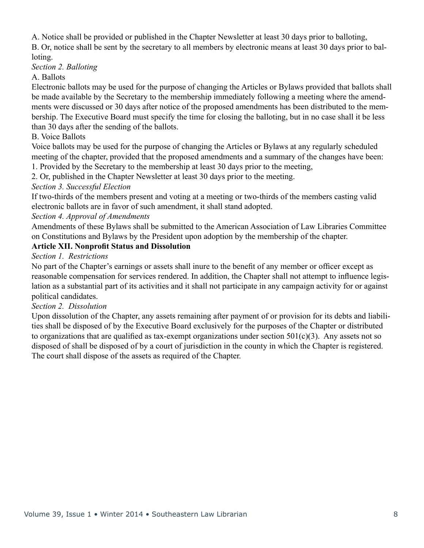A. Notice shall be provided or published in the Chapter Newsletter at least 30 days prior to balloting,

B. Or, notice shall be sent by the secretary to all members by electronic means at least 30 days prior to balloting.

#### *Section 2. Balloting*

#### A. Ballots

Electronic ballots may be used for the purpose of changing the Articles or Bylaws provided that ballots shall be made available by the Secretary to the membership immediately following a meeting where the amendments were discussed or 30 days after notice of the proposed amendments has been distributed to the membership. The Executive Board must specify the time for closing the balloting, but in no case shall it be less than 30 days after the sending of the ballots.

#### B. Voice Ballots

Voice ballots may be used for the purpose of changing the Articles or Bylaws at any regularly scheduled meeting of the chapter, provided that the proposed amendments and a summary of the changes have been:

1. Provided by the Secretary to the membership at least 30 days prior to the meeting,

2. Or, published in the Chapter Newsletter at least 30 days prior to the meeting.

#### *Section 3. Successful Election*

If two-thirds of the members present and voting at a meeting or two-thirds of the members casting valid electronic ballots are in favor of such amendment, it shall stand adopted.

#### *Section 4. Approval of Amendments*

Amendments of these Bylaws shall be submitted to the American Association of Law Libraries Committee on Constitutions and Bylaws by the President upon adoption by the membership of the chapter.

#### **Article XII. Nonprofit Status and Dissolution**

#### *Section 1. Restrictions*

No part of the Chapter's earnings or assets shall inure to the benefit of any member or officer except as reasonable compensation for services rendered. In addition, the Chapter shall not attempt to influence legislation as a substantial part of its activities and it shall not participate in any campaign activity for or against political candidates.

#### *Section 2. Dissolution*

Upon dissolution of the Chapter, any assets remaining after payment of or provision for its debts and liabilities shall be disposed of by the Executive Board exclusively for the purposes of the Chapter or distributed to organizations that are qualified as tax-exempt organizations under section 501(c)(3). Any assets not so disposed of shall be disposed of by a court of jurisdiction in the county in which the Chapter is registered. The court shall dispose of the assets as required of the Chapter.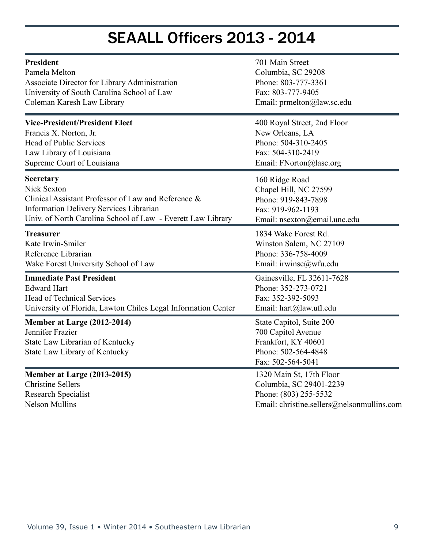# SEAALL Officers 2013 - 2014

| <b>President</b>                                                                                                    | 701 Main Street                                                                                                   |
|---------------------------------------------------------------------------------------------------------------------|-------------------------------------------------------------------------------------------------------------------|
| Pamela Melton                                                                                                       | Columbia, SC 29208                                                                                                |
| Associate Director for Library Administration                                                                       | Phone: 803-777-3361                                                                                               |
| University of South Carolina School of Law                                                                          | Fax: 803-777-9405                                                                                                 |
| Coleman Karesh Law Library                                                                                          | Email: prmelton@law.sc.edu                                                                                        |
| <b>Vice-President/President Elect</b>                                                                               | 400 Royal Street, 2nd Floor                                                                                       |
| Francis X. Norton, Jr.                                                                                              | New Orleans, LA                                                                                                   |
| <b>Head of Public Services</b>                                                                                      | Phone: 504-310-2405                                                                                               |
| Law Library of Louisiana                                                                                            | Fax: 504-310-2419                                                                                                 |
| Supreme Court of Louisiana                                                                                          | Email: FNorton@lasc.org                                                                                           |
| <b>Secretary</b>                                                                                                    | 160 Ridge Road                                                                                                    |
| <b>Nick Sexton</b>                                                                                                  | Chapel Hill, NC 27599                                                                                             |
| Clinical Assistant Professor of Law and Reference &                                                                 | Phone: 919-843-7898                                                                                               |
| <b>Information Delivery Services Librarian</b>                                                                      | Fax: 919-962-1193                                                                                                 |
| Univ. of North Carolina School of Law - Everett Law Library                                                         | Email: nsexton@email.unc.edu                                                                                      |
| <b>Treasurer</b>                                                                                                    | 1834 Wake Forest Rd.                                                                                              |
| Kate Irwin-Smiler                                                                                                   | Winston Salem, NC 27109                                                                                           |
| Reference Librarian                                                                                                 | Phone: 336-758-4009                                                                                               |
| Wake Forest University School of Law                                                                                | Email: irwinsc@wfu.edu                                                                                            |
| <b>Immediate Past President</b>                                                                                     | Gainesville, FL 32611-7628                                                                                        |
| <b>Edward Hart</b>                                                                                                  | Phone: 352-273-0721                                                                                               |
| <b>Head of Technical Services</b>                                                                                   | Fax: 352-392-5093                                                                                                 |
| University of Florida, Lawton Chiles Legal Information Center                                                       | Email: hart@law.ufl.edu                                                                                           |
| Member at Large (2012-2014)<br>Jennifer Frazier<br>State Law Librarian of Kentucky<br>State Law Library of Kentucky | State Capitol, Suite 200<br>700 Capitol Avenue<br>Frankfort, KY 40601<br>Phone: 502-564-4848<br>Fax: 502-564-5041 |
| Member at Large (2013-2015)                                                                                         | 1320 Main St, 17th Floor                                                                                          |
| <b>Christine Sellers</b>                                                                                            | Columbia, SC 29401-2239                                                                                           |
| Research Specialist                                                                                                 | Phone: (803) 255-5532                                                                                             |
| <b>Nelson Mullins</b>                                                                                               | Email: christine.sellers@nelsonmullins.com                                                                        |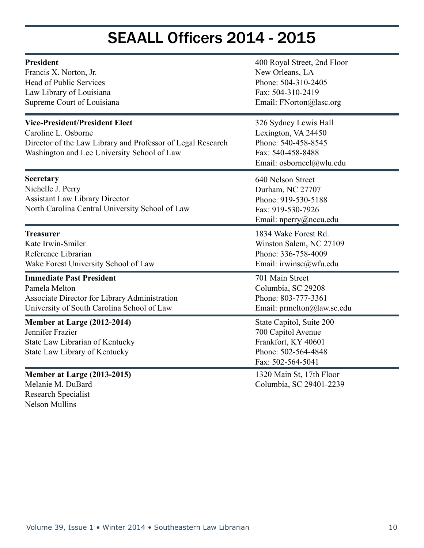### SEAALL Officers 2014 - 2015

| <b>President</b><br>Francis X. Norton, Jr.<br><b>Head of Public Services</b><br>Law Library of Louisiana<br>Supreme Court of Louisiana                                     | 400 Royal Street, 2nd Floor<br>New Orleans, LA<br>Phone: 504-310-2405<br>Fax: 504-310-2419<br>Email: FNorton@lasc.org |
|----------------------------------------------------------------------------------------------------------------------------------------------------------------------------|-----------------------------------------------------------------------------------------------------------------------|
| <b>Vice-President/President Elect</b><br>Caroline L. Osborne<br>Director of the Law Library and Professor of Legal Research<br>Washington and Lee University School of Law | 326 Sydney Lewis Hall<br>Lexington, VA 24450<br>Phone: 540-458-8545<br>Fax: 540-458-8488<br>Email: osbornecl@wlu.edu  |
| Secretary<br>Nichelle J. Perry<br><b>Assistant Law Library Director</b><br>North Carolina Central University School of Law                                                 | 640 Nelson Street<br>Durham, NC 27707<br>Phone: 919-530-5188<br>Fax: 919-530-7926<br>Email: nperry@nccu.edu           |
| <b>Treasurer</b><br>Kate Irwin-Smiler<br>Reference Librarian<br>Wake Forest University School of Law                                                                       | 1834 Wake Forest Rd.<br>Winston Salem, NC 27109<br>Phone: 336-758-4009<br>Email: irwinsc@wfu.edu                      |
| <b>Immediate Past President</b><br>Pamela Melton<br>Associate Director for Library Administration<br>University of South Carolina School of Law                            | 701 Main Street<br>Columbia, SC 29208<br>Phone: 803-777-3361<br>Email: prmelton@law.sc.edu                            |
| Member at Large (2012-2014)<br>Jennifer Frazier<br>State Law Librarian of Kentucky<br>State Law Library of Kentucky                                                        | State Capitol, Suite 200<br>700 Capitol Avenue<br>Frankfort, KY 40601<br>Phone: 502-564-4848<br>Fax: 502-564-5041     |
| Member at Large (2013-2015)<br>Melanie M. DuBard<br>Research Specialist<br><b>Nelson Mullins</b>                                                                           | 1320 Main St, 17th Floor<br>Columbia, SC 29401-2239                                                                   |